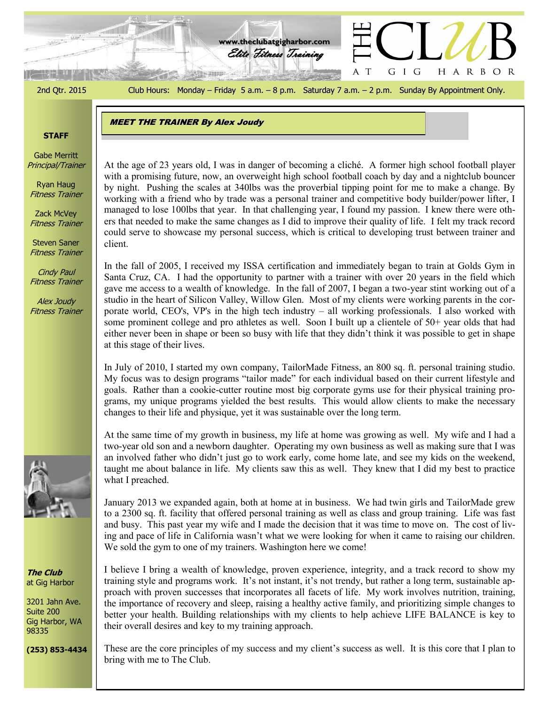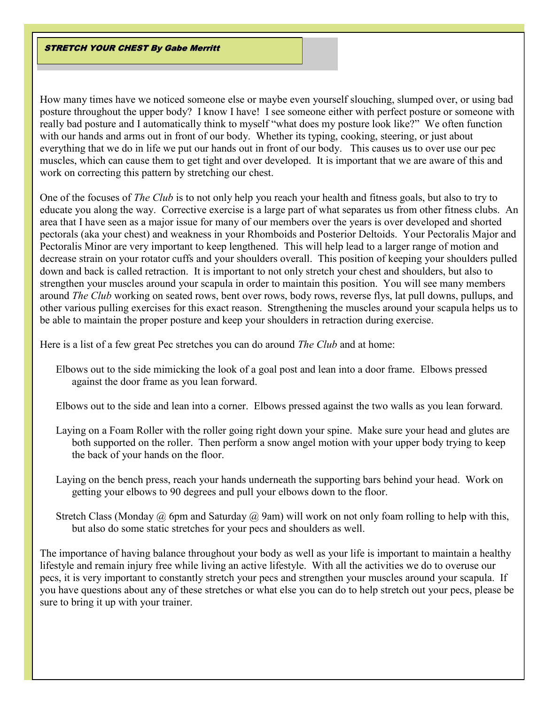STRETCH YOUR CHEST By Gabe Merritt

How many times have we noticed someone else or maybe even yourself slouching, slumped over, or using bad posture throughout the upper body? I know I have! I see someone either with perfect posture or someone with really bad posture and I automatically think to myself "what does my posture look like?" We often function with our hands and arms out in front of our body. Whether its typing, cooking, steering, or just about everything that we do in life we put our hands out in front of our body. This causes us to over use our pec muscles, which can cause them to get tight and over developed. It is important that we are aware of this and work on correcting this pattern by stretching our chest.

One of the focuses of *The Club* is to not only help you reach your health and fitness goals, but also to try to educate you along the way. Corrective exercise is a large part of what separates us from other fitness clubs. An area that I have seen as a major issue for many of our members over the years is over developed and shorted pectorals (aka your chest) and weakness in your Rhomboids and Posterior Deltoids. Your Pectoralis Major and Pectoralis Minor are very important to keep lengthened. This will help lead to a larger range of motion and decrease strain on your rotator cuffs and your shoulders overall. This position of keeping your shoulders pulled down and back is called retraction. It is important to not only stretch your chest and shoulders, but also to strengthen your muscles around your scapula in order to maintain this position. You will see many members around *The Club* working on seated rows, bent over rows, body rows, reverse flys, lat pull downs, pullups, and other various pulling exercises for this exact reason. Strengthening the muscles around your scapula helps us to be able to maintain the proper posture and keep your shoulders in retraction during exercise.

Here is a list of a few great Pec stretches you can do around *The Club* and at home:

Elbows out to the side mimicking the look of a goal post and lean into a door frame. Elbows pressed against the door frame as you lean forward.

Elbows out to the side and lean into a corner. Elbows pressed against the two walls as you lean forward.

- Laying on a Foam Roller with the roller going right down your spine. Make sure your head and glutes are both supported on the roller. Then perform a snow angel motion with your upper body trying to keep the back of your hands on the floor.
- Laying on the bench press, reach your hands underneath the supporting bars behind your head. Work on getting your elbows to 90 degrees and pull your elbows down to the floor.
- Stretch Class (Monday  $\omega$ ) 6pm and Saturday  $\omega$ ) 9am) will work on not only foam rolling to help with this, but also do some static stretches for your pecs and shoulders as well.

The importance of having balance throughout your body as well as your life is important to maintain a healthy lifestyle and remain injury free while living an active lifestyle. With all the activities we do to overuse our pecs, it is very important to constantly stretch your pecs and strengthen your muscles around your scapula. If you have questions about any of these stretches or what else you can do to help stretch out your pecs, please be sure to bring it up with your trainer.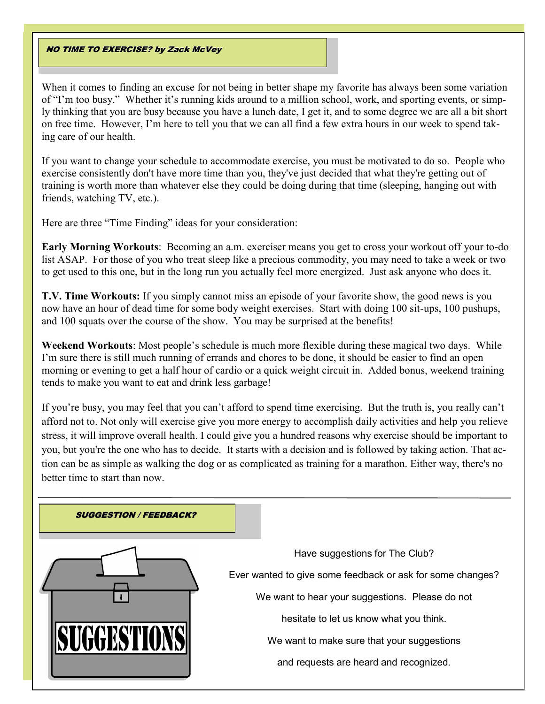### **NO TIME TO EXERCISE? by Zack McVey**

When it comes to finding an excuse for not being in better shape my favorite has always been some variation of "I'm too busy." Whether it's running kids around to a million school, work, and sporting events, or simply thinking that you are busy because you have a lunch date, I get it, and to some degree we are all a bit short on free time. However, I'm here to tell you that we can all find a few extra hours in our week to spend taking care of our health.

If you want to change your schedule to accommodate exercise, you must be motivated to do so. People who exercise consistently don't have more time than you, they've just decided that what they're getting out of training is worth more than whatever else they could be doing during that time (sleeping, hanging out with friends, watching TV, etc.).

Here are three "Time Finding" ideas for your consideration:

**Early Morning Workouts**: Becoming an a.m. exerciser means you get to cross your workout off your to-do list ASAP. For those of you who treat sleep like a precious commodity, you may need to take a week or two to get used to this one, but in the long run you actually feel more energized. Just ask anyone who does it.

**T.V. Time Workouts:** If you simply cannot miss an episode of your favorite show, the good news is you now have an hour of dead time for some body weight exercises. Start with doing 100 sit-ups, 100 pushups, and 100 squats over the course of the show. You may be surprised at the benefits!

**Weekend Workouts**: Most people's schedule is much more flexible during these magical two days. While I'm sure there is still much running of errands and chores to be done, it should be easier to find an open morning or evening to get a half hour of cardio or a quick weight circuit in. Added bonus, weekend training tends to make you want to eat and drink less garbage!

If you're busy, you may feel that you can't afford to spend time exercising. But the truth is, you really can't afford not to. Not only will exercise give you more energy to accomplish daily activities and help you relieve stress, it will improve overall health. I could give you a hundred reasons why exercise should be important to you, but you're the one who has to decide. It starts with a decision and is followed by taking action. That action can be as simple as walking the dog or as complicated as training for a marathon. Either way, there's no better time to start than now.

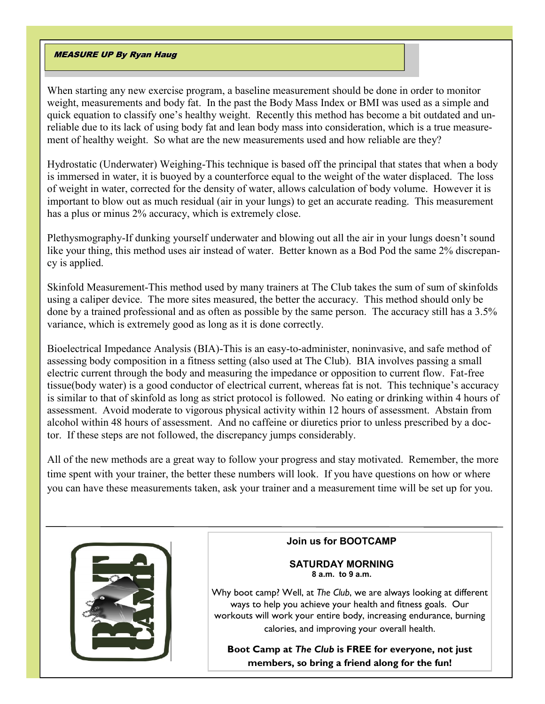## MEASURE UP By Ryan Haug

When starting any new exercise program, a baseline measurement should be done in order to monitor weight, measurements and body fat. In the past the Body Mass Index or BMI was used as a simple and quick equation to classify one's healthy weight. Recently this method has become a bit outdated and unreliable due to its lack of using body fat and lean body mass into consideration, which is a true measurement of healthy weight. So what are the new measurements used and how reliable are they?

Hydrostatic (Underwater) Weighing-This technique is based off the principal that states that when a body is immersed in water, it is buoyed by a counterforce equal to the weight of the water displaced. The loss of weight in water, corrected for the density of water, allows calculation of body volume. However it is important to blow out as much residual (air in your lungs) to get an accurate reading. This measurement has a plus or minus 2% accuracy, which is extremely close.

Plethysmography-If dunking yourself underwater and blowing out all the air in your lungs doesn't sound like your thing, this method uses air instead of water. Better known as a Bod Pod the same 2% discrepancy is applied.

Skinfold Measurement-This method used by many trainers at The Club takes the sum of sum of skinfolds using a caliper device. The more sites measured, the better the accuracy. This method should only be done by a trained professional and as often as possible by the same person. The accuracy still has a 3.5% variance, which is extremely good as long as it is done correctly.

Bioelectrical Impedance Analysis (BIA)-This is an easy-to-administer, noninvasive, and safe method of assessing body composition in a fitness setting (also used at The Club). BIA involves passing a small electric current through the body and measuring the impedance or opposition to current flow. Fat-free tissue(body water) is a good conductor of electrical current, whereas fat is not. This technique's accuracy is similar to that of skinfold as long as strict protocol is followed. No eating or drinking within 4 hours of assessment. Avoid moderate to vigorous physical activity within 12 hours of assessment. Abstain from alcohol within 48 hours of assessment. And no caffeine or diuretics prior to unless prescribed by a doctor. If these steps are not followed, the discrepancy jumps considerably.

All of the new methods are a great way to follow your progress and stay motivated. Remember, the more time spent with your trainer, the better these numbers will look. If you have questions on how or where you can have these measurements taken, ask your trainer and a measurement time will be set up for you.



## **Join us for BOOTCAMP**

#### **SATURDAY MORNING 8 a.m. to 9 a.m.**

Why boot camp? Well, at *The Club*, we are always looking at different ways to help you achieve your health and fitness goals. Our workouts will work your entire body, increasing endurance, burning calories, and improving your overall health.

**Boot Camp at** *The Club* **is FREE for everyone, not just members, so bring a friend along for the fun!**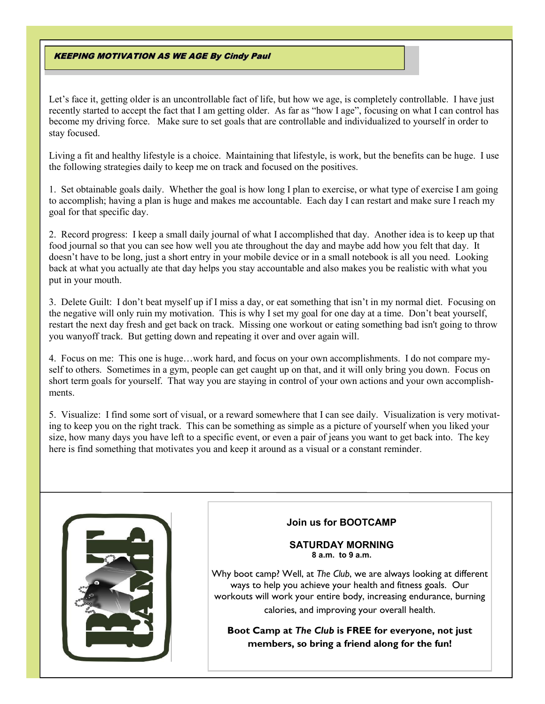#### KEEPING MOTIVATION AS WE AGE By Cindy Paul

Let's face it, getting older is an uncontrollable fact of life, but how we age, is completely controllable. I have just recently started to accept the fact that I am getting older. As far as "how I age", focusing on what I can control has become my driving force. Make sure to set goals that are controllable and individualized to yourself in order to stay focused.

Living a fit and healthy lifestyle is a choice. Maintaining that lifestyle, is work, but the benefits can be huge. I use the following strategies daily to keep me on track and focused on the positives.

1. Set obtainable goals daily. Whether the goal is how long I plan to exercise, or what type of exercise I am going to accomplish; having a plan is huge and makes me accountable. Each day I can restart and make sure I reach my goal for that specific day.

2. Record progress: I keep a small daily journal of what I accomplished that day. Another idea is to keep up that food journal so that you can see how well you ate throughout the day and maybe add how you felt that day. It doesn't have to be long, just a short entry in your mobile device or in a small notebook is all you need. Looking back at what you actually ate that day helps you stay accountable and also makes you be realistic with what you put in your mouth.

3. Delete Guilt: I don't beat myself up if I miss a day, or eat something that isn't in my normal diet. Focusing on the negative will only ruin my motivation. This is why I set my goal for one day at a time. Don't beat yourself, restart the next day fresh and get back on track. Missing one workout or eating something bad isn't going to throw you wanyoff track. But getting down and repeating it over and over again will.

4. Focus on me: This one is huge…work hard, and focus on your own accomplishments. I do not compare myself to others. Sometimes in a gym, people can get caught up on that, and it will only bring you down. Focus on short term goals for yourself. That way you are staying in control of your own actions and your own accomplishments.

5. Visualize: I find some sort of visual, or a reward somewhere that I can see daily. Visualization is very motivating to keep you on the right track. This can be something as simple as a picture of yourself when you liked your size, how many days you have left to a specific event, or even a pair of jeans you want to get back into. The key here is find something that motivates you and keep it around as a visual or a constant reminder.



# **Join us for BOOTCAMP**

#### **SATURDAY MORNING 8 a.m. to 9 a.m.**

Why boot camp? Well, at *The Club*, we are always looking at different ways to help you achieve your health and fitness goals. Our workouts will work your entire body, increasing endurance, burning calories, and improving your overall health.

**Boot Camp at** *The Club* **is FREE for everyone, not just members, so bring a friend along for the fun!**